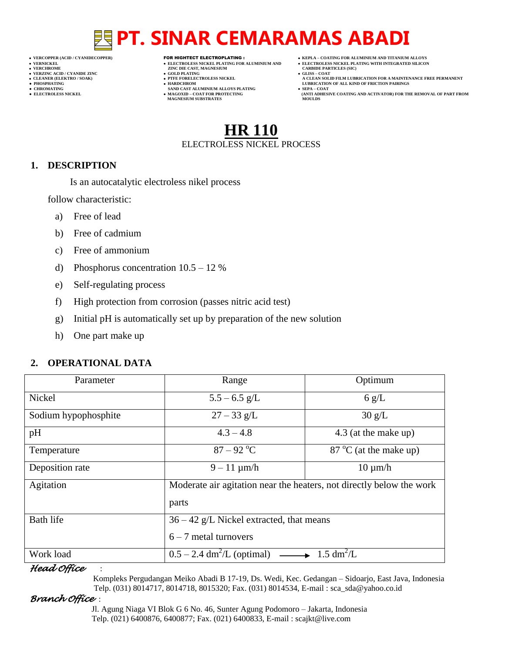- 
- 
- 
- 

- **VERT ASSESSED ASSESSED ASSESSED ASSESSED ASSESSED ASSESSED ASSESSED ASSESSED ASSESSED ASSESSED ASSESSED ASSESSED ASSESSED ASSESSED ASSESSED ASSESSED ASSESSED ASSESSED ASSESSED ASSESSED ASSESSED ASSESSED ASSESSED ASSESSED**
- **VERZINC ACID / CYANIDE ZINC GOLD PLATING GLISS – COAT**
	-
- **● CHROMATING SAND CAST ALUMINIUM ALLOYS PLATING SEPA – COAT MAGNESIUM SUBSTRATES MOULDS**
- **VERCOPPER (ACID / CYANIDECOPPER)** FOR HIGHTECT ELECTROPLATING :  **KEPLA – COATING FOR ALUMINIUM AND TITANIUM ALLOYS**
- **VERNICKEL ELECTROLESS NICKEL PLATING FOR ALUMINIUM AND ELECTROLESS NICKEL PLATING WITH INTEGRATED SILICON**
	-
- **CLEANER (ELEKTRO / SOAK) PTFE FORELECTROLESS NICKEL A CLEAN SOLID FILM LUBRICATION FOR A MAINTENANCE FREE PERMANENT ● PHOSPHATING HARDCHROM LUBRICATION OF ALL KIND OF FRICTION PAIRINGS**
- **● ELECTROLESS NICKEL MAGOXID – COAT FOR PROTECTING (ANTI ADHESIVE COATING AND ACTIVATOR) FOR THE REMOVAL OF PART FROM**

# **HR 110** ELECTROLESS NICKEL PROCESS

### **1. DESCRIPTION**

Is an autocatalytic electroless nikel process

follow characteristic:

- a) Free of lead
- b) Free of cadmium
- c) Free of ammonium
- d) Phosphorus concentration 10.5 12 %
- e) Self-regulating process
- f) High protection from corrosion (passes nitric acid test)
- g) Initial pH is automatically set up by preparation of the new solution
- h) One part make up

### **2. OPERATIONAL DATA**

| Parameter            | Range                                                                             | Optimum                         |  |
|----------------------|-----------------------------------------------------------------------------------|---------------------------------|--|
| Nickel               | $5.5 - 6.5$ g/L                                                                   | 6 g/L                           |  |
| Sodium hypophosphite | $27 - 33$ g/L                                                                     | 30 g/L                          |  |
| pH                   | $4.3 - 4.8$                                                                       | 4.3 (at the make up)            |  |
| Temperature          | $87 - 92$ °C                                                                      | $87^{\circ}$ C (at the make up) |  |
| Deposition rate      | $9 - 11 \mu m/h$                                                                  | $10 \mu m/h$                    |  |
| Agitation            | Moderate air agitation near the heaters, not directly below the work              |                                 |  |
|                      | parts                                                                             |                                 |  |
| <b>Bath life</b>     | $36 - 42$ g/L Nickel extracted, that means                                        |                                 |  |
|                      | $6 - 7$ metal turnovers                                                           |                                 |  |
| Work load            | $0.5 - 2.4$ dm <sup>2</sup> /L (optimal) $\longrightarrow 1.5$ dm <sup>2</sup> /L |                                 |  |

#### *Head Office* :

 Kompleks Pergudangan Meiko Abadi B 17-19, Ds. Wedi, Kec. Gedangan – Sidoarjo, East Java, Indonesia Telp. (031) 8014717, 8014718, 8015320; Fax. (031) 8014534, E-mail : sca\_sda@yahoo.co.id

## *Branch Office* :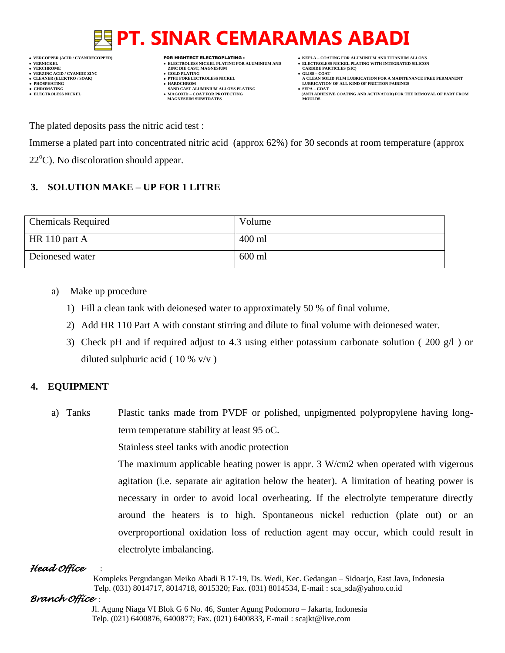

**VERFORM ZINC DIE CAST, MAGNESIUM CARBIDE PARTICLES (SIC)**<br> **CARBIDE PARTING** 

- 
- 
- $\bullet$  **CHROMATING**  $\bullet$  **ELECTROLESS NICKEL**  $\bullet$  **MAGOXID COAT FOR PROTECTING MAGNESIUM SUBSTRATES**
- **VERCOPPER (ACID / CYANIDECOPPER)** FOR HIGHTECT ELECTROPLATING :  **KEPLA – COATING FOR ALUMINIUM AND TITANIUM ALLOYS**
	-
	-
- **A CLEAN SOLID FILM LUBRICATION FOR A MAINTENANCE FREE PERMANENT ● PHOSPHATING HARDCHROM LUBRICATION OF ALL KIND OF FRICTION PAIRINGS** 
	- **ELECTROLESS AND ACTIVATOR) FOR THE REMOVAL OF PART FROM (ANTI ADHESIVE COATING AND ACTIVATOR) FOR THE REMOVAL OF PART FROM**

The plated deposits pass the nitric acid test :

Immerse a plated part into concentrated nitric acid (approx 62%) for 30 seconds at room temperature (approx  $22^{\circ}$ C). No discoloration should appear.

## **3. SOLUTION MAKE – UP FOR 1 LITRE**

| <b>Chemicals Required</b> | Volume   |
|---------------------------|----------|
| $H\$ 110 part A           | $400$ ml |
| Deionesed water           | 600 ml   |

- a) Make up procedure
	- 1) Fill a clean tank with deionesed water to approximately 50 % of final volume.
	- 2) Add HR 110 Part A with constant stirring and dilute to final volume with deionesed water.
	- 3) Check pH and if required adjust to 4.3 using either potassium carbonate solution ( 200 g/l ) or diluted sulphuric acid ( $10\%$  v/v)

## **4. EQUIPMENT**

a) Tanks Plastic tanks made from PVDF or polished, unpigmented polypropylene having longterm temperature stability at least 95 oC.

Stainless steel tanks with anodic protection

The maximum applicable heating power is appr. 3 W/cm2 when operated with vigerous agitation (i.e. separate air agitation below the heater). A limitation of heating power is necessary in order to avoid local overheating. If the electrolyte temperature directly around the heaters is to high. Spontaneous nickel reduction (plate out) or an overproportional oxidation loss of reduction agent may occur, which could result in electrolyte imbalancing.

# *Head Office* :

 Kompleks Pergudangan Meiko Abadi B 17-19, Ds. Wedi, Kec. Gedangan – Sidoarjo, East Java, Indonesia Telp. (031) 8014717, 8014718, 8015320; Fax. (031) 8014534, E-mail : sca\_sda@yahoo.co.id

## *Branch Office* :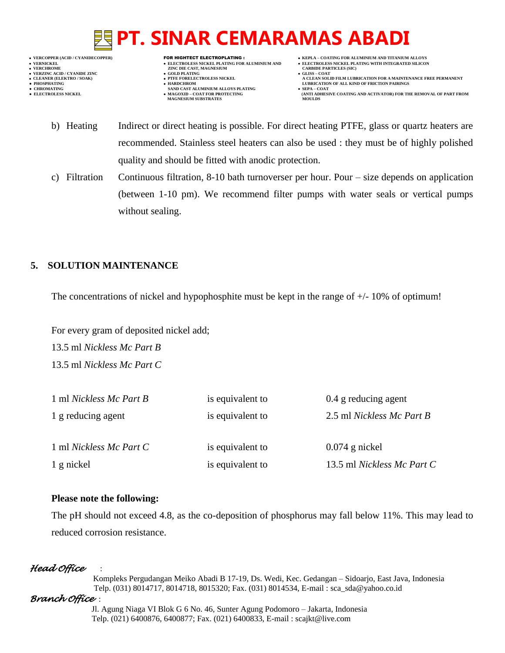**VERNICKEL ELECTROLESS NICKEL PLATING FOR ALUMINIUM AND ELECTROLESS NICKEL PLATING WITH INTEGRATED SILICON**

- **VERT ASSESSED ASSESSED ASSESSED ASSESSED ASSESSED ASSESSED ASSESSED ASSESSED ASSESSED ASSESSED ASSESSED ASSESSED ASSESSED ASSESSED ASSESSED ASSESSED ASSESSED ASSESSED ASSESSED ASSESSED ASSESSED ASSESSED ASSESSED ASSESSED VERZINC ACID / CYANIDE ZINC GOLD PLATING GLISS – COAT**
	-
- **PHOSPHATING HARDCHROM LUBRICATION OF ALL KIND OF FRICTION PAIRINGS ● CHROMATING SAND CAST ALUMINIUM ALLOYS PLATING SEPA – COAT MAGNESIUM SUBSTRATES**
- **VERCOPPER (ACID / CYANIDECOPPER)** FOR HIGHTECT ELECTROPLATING :  **KEPLA – COATING FOR ALUMINIUM AND TITANIUM ALLOYS**
	-
- **CLEANER (ELEKTRO / SOAK) PTFE FORELECTROLESS NICKEL A CLEAN SOLID FILM LUBRICATION FOR A MAINTENANCE FREE PERMANENT**
	- **ELECTROLESS AND ACTIVATOR) FOR THE REMOVAL OF PART FROM (ANTI ADHESIVE COATING AND ACTIVATOR) FOR THE REMOVAL OF PART FROM**
	- b) Heating Indirect or direct heating is possible. For direct heating PTFE, glass or quartz heaters are recommended. Stainless steel heaters can also be used : they must be of highly polished quality and should be fitted with anodic protection.
	- c) Filtration Continuous filtration, 8-10 bath turnoverser per hour. Pour size depends on application (between 1-10 pm). We recommend filter pumps with water seals or vertical pumps without sealing.

# **5. SOLUTION MAINTENANCE**

The concentrations of nickel and hypophosphite must be kept in the range of  $+/$ - 10% of optimum!

For every gram of deposited nickel add; 13.5 ml *Nickless Mc Part B*  13.5 ml *Nickless Mc Part C*

| 1 ml Nickless Mc Part B | is equivalent to | 0.4 g reducing agent       |
|-------------------------|------------------|----------------------------|
| 1 g reducing agent      | is equivalent to | 2.5 ml Nickless Mc Part B  |
| 1 ml Nickless Mc Part C | is equivalent to | $0.074$ g nickel           |
| 1 g nickel              | is equivalent to | 13.5 ml Nickless Mc Part C |

## **Please note the following:**

The pH should not exceed 4.8, as the co-deposition of phosphorus may fall below 11%. This may lead to reduced corrosion resistance.

# *Head Office* :

 Kompleks Pergudangan Meiko Abadi B 17-19, Ds. Wedi, Kec. Gedangan – Sidoarjo, East Java, Indonesia Telp. (031) 8014717, 8014718, 8015320; Fax. (031) 8014534, E-mail : sca\_sda@yahoo.co.id

# *Branch Office* :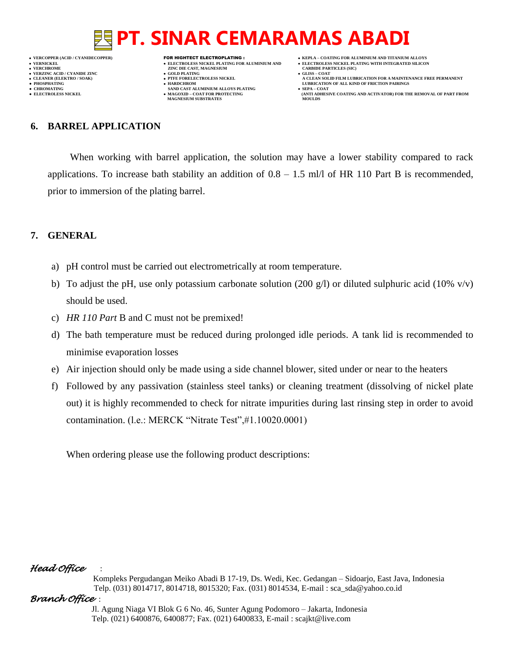**VERNICKEL ELECTROLESS NICKEL PLATING FOR ALUMINIUM AND ELECTROLESS NICKEL PLATING WITH INTEGRATED SILICON VERZINC ACID / CYANIDE ZINC GOLD PLATING GLISS – COAT**

- 
- 

- **VERT ASSESSED ASSESSED ASSESSED ASSESSED ASSESSED ASSESSED ASSESSED ASSESSED ASSESSED ASSESSED ASSESSED ASSESSED ASSESSED ASSESSED ASSESSED ASSESSED ASSESSED ASSESSED ASSESSED ASSESSED ASSESSED ASSESSED ASSESSED ASSESSED**
- 
- **● CHROMATING SAND CAST ALUMINIUM ALLOYS PLATING SEPA – COAT MAGNESIUM SUBSTRATES**
- **VERCOPPER (ACID / CYANIDECOPPER)** FOR HIGHTECT ELECTROPLATING :  **KEPLA – COATING FOR ALUMINIUM AND TITANIUM ALLOYS**
	-
	-
- **CLEANER (ELEKTRO / SOAK) PTFE FORELECTROLESS NICKEL A CLEAN SOLID FILM LUBRICATION FOR A MAINTENANCE FREE PERMANENT ● PHOSPHATING HARDCHROM LUBRICATION OF ALL KIND OF FRICTION PAIRINGS** 
	- **ELECTROLESS AND ACTIVATOR) FOR THE REMOVAL OF PART FROM (ANTI ADHESIVE COATING AND ACTIVATOR) FOR THE REMOVAL OF PART FROM**

### **6. BARREL APPLICATION**

When working with barrel application, the solution may have a lower stability compared to rack applications. To increase bath stability an addition of  $0.8 - 1.5$  ml/l of HR 110 Part B is recommended, prior to immersion of the plating barrel.

### **7. GENERAL**

- a) pH control must be carried out electrometrically at room temperature.
- b) To adjust the pH, use only potassium carbonate solution (200 g/l) or diluted sulphuric acid (10% v/v) should be used.
- c) *HR 110 Part* B and C must not be premixed!
- d) The bath temperature must be reduced during prolonged idle periods. A tank lid is recommended to minimise evaporation losses
- e) Air injection should only be made using a side channel blower, sited under or near to the heaters
- f) Followed by any passivation (stainless steel tanks) or cleaning treatment (dissolving of nickel plate out) it is highly recommended to check for nitrate impurities during last rinsing step in order to avoid contamination. (l.e.: MERCK "Nitrate Test",#1.10020.0001)

When ordering please use the following product descriptions:

### *Head Office* :

 Kompleks Pergudangan Meiko Abadi B 17-19, Ds. Wedi, Kec. Gedangan – Sidoarjo, East Java, Indonesia Telp. (031) 8014717, 8014718, 8015320; Fax. (031) 8014534, E-mail : sca\_sda@yahoo.co.id

### *Branch Office* :